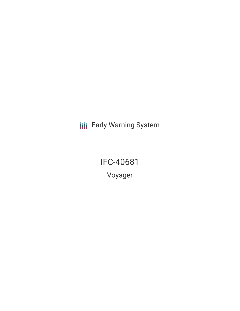**III** Early Warning System

IFC-40681 Voyager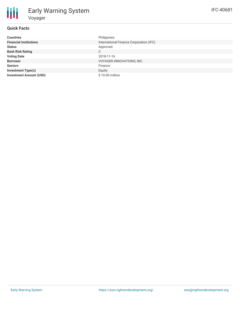### **Quick Facts**

| <b>Countries</b>               | Philippines                             |
|--------------------------------|-----------------------------------------|
| <b>Financial Institutions</b>  | International Finance Corporation (IFC) |
| <b>Status</b>                  | Approved                                |
| <b>Bank Risk Rating</b>        | C                                       |
| <b>Voting Date</b>             | 2018-11-16                              |
| <b>Borrower</b>                | VOYAGER INNOVATIONS, INC.               |
| <b>Sectors</b>                 | Finance                                 |
| <b>Investment Type(s)</b>      | Equity                                  |
| <b>Investment Amount (USD)</b> | \$10.00 million                         |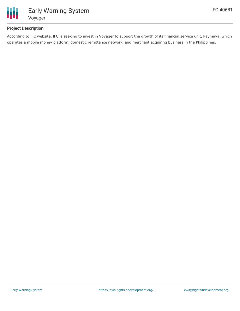

## **Project Description**

According to IFC website, IFC is seeking to invest in Voyager to support the growth of its financial service unit, Paymaya, which operates a mobile money platform, domestic remittance network, and merchant acquiring business in the Philippines.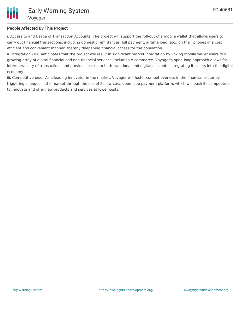### **People Affected By This Project**

i. Access to and Usage of Transaction Accounts: The project will support the roll-out of a mobile wallet that allows users to carry out financial transactions, including domestic remittances, bill payment, airtime load, etc., on their phones in a cost efficient and convenient manner, thereby deepening financial access for the population

ii. Integration - IFC anticipates that the project will result in significant market integration by linking mobile wallet users to a growing array of digital financial and non-financial services, including e-commerce. Voyager's open-loop approach allows for interoperability of transactions and provides access to both traditional and digital accounts, integrating its users into the digital economy.

iii. Competitiveness - As a leading innovator in the market, Voyager will foster competitiveness in the financial sector by triggering changes in the market through the use of its low-cost, open-loop payment platform, which will push its competitors to innovate and offer new products and services at lower costs.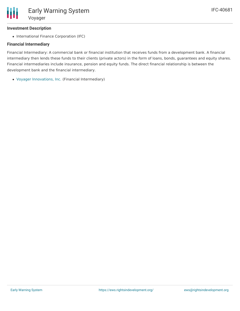# **Investment Description**

• International Finance Corporation (IFC)

# **Financial Intermediary**

Financial Intermediary: A commercial bank or financial institution that receives funds from a development bank. A financial intermediary then lends these funds to their clients (private actors) in the form of loans, bonds, guarantees and equity shares. Financial intermediaries include insurance, pension and equity funds. The direct financial relationship is between the development bank and the financial intermediary.

Voyager [Innovations,](file:///actor/1678/) Inc. (Financial Intermediary)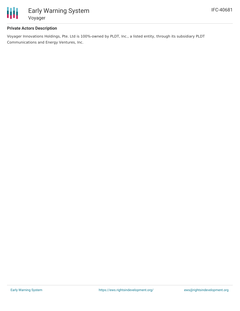

### **Private Actors Description**

Voyager Innovations Holdings, Pte. Ltd is 100%-owned by PLDT, Inc., a listed entity, through its subsidiary PLDT Communications and Energy Ventures, Inc.